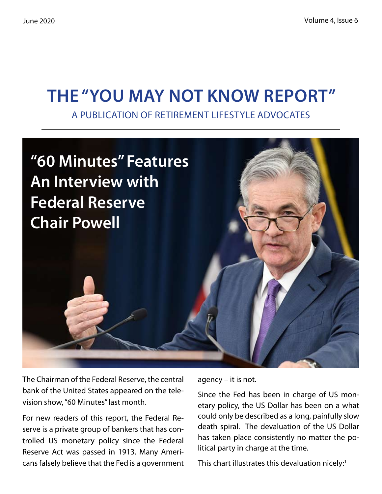# **The "You May Not Know Report"**

A Publication of Retirement Lifestyle Advocates



The Chairman of the Federal Reserve, the central bank of the United States appeared on the television show, "60 Minutes" last month.

For new readers of this report, the Federal Reserve is a private group of bankers that has controlled US monetary policy since the Federal Reserve Act was passed in 1913. Many Americans falsely believe that the Fed is a government agency – it is not.

Since the Fed has been in charge of US monetary policy, the US Dollar has been on a what could only be described as a long, painfully slow death spiral. The devaluation of the US Dollar has taken place consistently no matter the political party in charge at the time.

This chart illustrates this devaluation nicely: $1$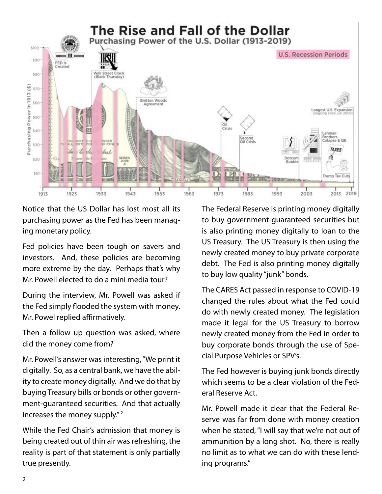

Notice that the US Dollar has lost most all its purchasing power as the Fed has been managing monetary policy.

Fed policies have been tough on savers and investors. And, these policies are becoming more extreme by the day. Perhaps that's why Mr. Powell elected to do a mini media tour?

During the interview, Mr. Powell was asked if the Fed simply flooded the system with money. Mr. Powel replied affirmatively.

Then a follow up question was asked, where did the money come from?

Mr. Powell's answer was interesting, "We print it digitally. So, as a central bank, we have the ability to create money digitally. And we do that by buying Treasury bills or bonds or other government-guaranteed securities. And that actually increases the money supply." 2

While the Fed Chair's admission that money is being created out of thin air was refreshing, the reality is part of that statement is only partially true presently.

The Federal Reserve is printing money digitally to buy government-guaranteed securities but is also printing money digitally to loan to the US Treasury. The US Treasury is then using the newly created money to buy private corporate debt. The Fed is also printing money digitally to buy low quality "junk" bonds.

The CARES Act passed in response to COVID-19 changed the rules about what the Fed could do with newly created money. The legislation made it legal for the US Treasury to borrow newly created money from the Fed in order to buy corporate bonds through the use of Special Purpose Vehicles or SPV's.

The Fed however is buying junk bonds directly which seems to be a clear violation of the Federal Reserve Act.

Mr. Powell made it clear that the Federal Reserve was far from done with money creation when he stated, "I will say that we're not out of ammunition by a long shot. No, there is really no limit as to what we can do with these lending programs."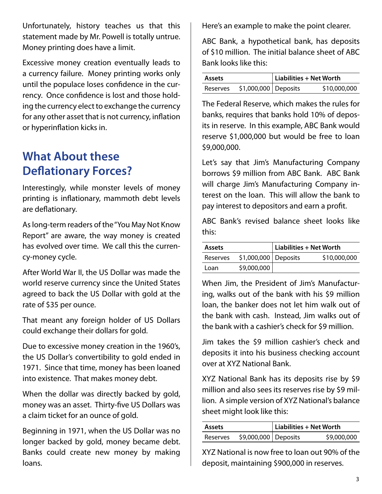Unfortunately, history teaches us that this statement made by Mr. Powell is totally untrue. Money printing does have a limit.

Excessive money creation eventually leads to a currency failure. Money printing works only until the populace loses confidence in the currency. Once confidence is lost and those holding the currency elect to exchange the currency for any other asset that is not currency, inflation or hyperinflation kicks in.

## **What About these Deflationary Forces?**

Interestingly, while monster levels of money printing is inflationary, mammoth debt levels are deflationary.

As long-term readers of the "You May Not Know Report" are aware, the way money is created has evolved over time. We call this the currency-money cycle.

After World War II, the US Dollar was made the world reserve currency since the United States agreed to back the US Dollar with gold at the rate of \$35 per ounce.

That meant any foreign holder of US Dollars could exchange their dollars for gold.

Due to excessive money creation in the 1960's, the US Dollar's convertibility to gold ended in 1971. Since that time, money has been loaned into existence. That makes money debt.

When the dollar was directly backed by gold, money was an asset. Thirty-five US Dollars was a claim ticket for an ounce of gold.

Beginning in 1971, when the US Dollar was no longer backed by gold, money became debt. Banks could create new money by making loans.

Here's an example to make the point clearer.

ABC Bank, a hypothetical bank, has deposits of \$10 million. The initial balance sheet of ABC Bank looks like this:

| <b>Assets</b> |                       | $\vert$ Liabilities + Net Worth |              |
|---------------|-----------------------|---------------------------------|--------------|
| Reserves      | $$1,000,000$ Deposits |                                 | \$10,000,000 |

The Federal Reserve, which makes the rules for banks, requires that banks hold 10% of deposits in reserve. In this example, ABC Bank would reserve \$1,000,000 but would be free to loan \$9,000,000.

Let's say that Jim's Manufacturing Company borrows \$9 million from ABC Bank. ABC Bank will charge Jim's Manufacturing Company interest on the loan. This will allow the bank to pay interest to depositors and earn a profit.

ABC Bank's revised balance sheet looks like this:

| <b>Assets</b> |                       | Liabilities + Net Worth |              |
|---------------|-----------------------|-------------------------|--------------|
| Reserves      | $$1,000,000$ Deposits |                         | \$10,000,000 |
| Loan          | \$9,000,000           |                         |              |

When Jim, the President of Jim's Manufacturing, walks out of the bank with his \$9 million loan, the banker does not let him walk out of the bank with cash. Instead, Jim walks out of the bank with a cashier's check for \$9 million.

Jim takes the \$9 million cashier's check and deposits it into his business checking account over at XYZ National Bank.

XYZ National Bank has its deposits rise by \$9 million and also sees its reserves rise by \$9 million. A simple version of XYZ National's balance sheet might look like this:

| <b>Assets</b> |                      | $ $ Liabilities + Net Worth |             |
|---------------|----------------------|-----------------------------|-------------|
| Reserves      | \$9,000,000 Deposits |                             | \$9,000,000 |

XYZ National is now free to loan out 90% of the deposit, maintaining \$900,000 in reserves.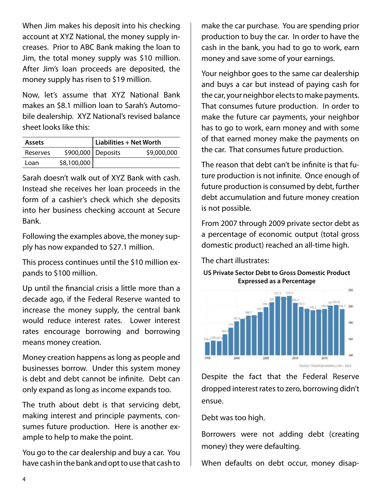When Jim makes his deposit into his checking account at XYZ National, the money supply increases. Prior to ABC Bank making the loan to Jim, the total money supply was \$10 million. After Jim's loan proceeds are deposited, the money supply has risen to \$19 million.

Now, let's assume that XYZ National Bank makes an \$8.1 million loan to Sarah's Automobile dealership. XYZ National's revised balance sheet looks like this:

| <b>Assets</b> |                      | $ $ Liabilities + Net Worth |             |
|---------------|----------------------|-----------------------------|-------------|
| Reserves      | \$900,000   Deposits |                             | \$9,000,000 |
| Loan          | \$8,100,000          |                             |             |

Sarah doesn't walk out of XYZ Bank with cash. Instead she receives her loan proceeds in the form of a cashier's check which she deposits into her business checking account at Secure Bank.

Following the examples above, the money supply has now expanded to \$27.1 million.

This process continues until the \$10 million expands to \$100 million.

Up until the financial crisis a little more than a decade ago, if the Federal Reserve wanted to increase the money supply, the central bank would reduce interest rates. Lower interest rates encourage borrowing and borrowing means money creation.

Money creation happens as long as people and businesses borrow. Under this system money is debt and debt cannot be infinite. Debt can only expand as long as income expands too.

The truth about debt is that servicing debt, making interest and principle payments, consumes future production. Here is another example to help to make the point.

You go to the car dealership and buy a car. You have cash in the bank and opt to use that cash to make the car purchase. You are spending prior production to buy the car. In order to have the cash in the bank, you had to go to work, earn money and save some of your earnings.

Your neighbor goes to the same car dealership and buys a car but instead of paying cash for the car, your neighbor elects to make payments. That consumes future production. In order to make the future car payments, your neighbor has to go to work, earn money and with some of that earned money make the payments on the car. That consumes future production.

The reason that debt can't be infinite is that future production is not infinite. Once enough of future production is consumed by debt, further debt accumulation and future money creation is not possible.

From 2007 through 2009 private sector debt as a percentage of economic output (total gross domestic product) reached an all-time high.

The chart illustrates:

**US Private Sector Debt to Gross Domestic Product Expressed as a Percentage**



Despite the fact that the Federal Reserve dropped interest rates to zero, borrowing didn't ensue.

Debt was too high.

Borrowers were not adding debt (creating money) they were defaulting.

When defaults on debt occur, money disap-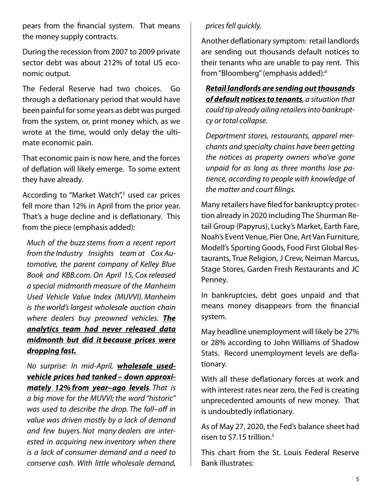pears from the financial system. That means the money supply contracts.

During the recession from 2007 to 2009 private sector debt was about 212% of total US economic output.

The Federal Reserve had two choices. Go through a deflationary period that would have been painful for some years as debt was purged from the system, or, print money which, as we wrote at the time, would only delay the ultimate economic pain.

That economic pain is now here, and the forces of deflation will likely emerge. To some extent they have already.

According to "Market Watch",<sup>3</sup> used car prices fell more than 12% in April from the prior year. That's a huge decline and is deflationary. This from the piece (emphasis added):

*Much of the buzz stems from a recent report from the Industry Insights team at Cox Automotive, the parent company of Kelley Blue Book and KBB.com. On April 15, Cox released a special midmonth measure of the Manheim Used Vehicle Value Index (MUVVI). Manheim is the world'slargest wholesale auction chain where dealers buy preowned vehicles. The analytics team had never released data midmonth but did it because prices were dropping fast.*

*No surprise: In mid-April, wholesale usedvehicle prices had tanked – down approximately 12% from year–ago levels. That is* 

*a big move for the MUVVI; the word "historic" was used to describe the drop. The fall–off in value was driven mostly by a lack of demand and few buyers. Not many dealers are interested in acquiring new inventory when there is a lack of consumer demand and a need to conserve cash. With little wholesale demand,* 

## *prices fell quickly.*

Another deflationary symptom: retail landlords are sending out thousands default notices to their tenants who are unable to pay rent. This from "Bloomberg" (emphasis added):4

*Retail landlords are sending out thousands of default notices to tenants, a situation that could tip already ailing retailers into bankruptcy or total collapse.*

*Department stores, restaurants, apparel merchants and specialty chains have been getting the notices as property owners who've gone unpaid for as long as three months lose patience, according to people with knowledge of the matter and court filings.*

Many retailers have filed for bankruptcy protection already in 2020 including The Shurman Retail Group (Papyrus), Lucky's Market, Earth Fare, Noah's Event Venue, Pier One, Art Van Furniture, Modell's Sporting Goods, Food First Global Restaurants, True Religion, J Crew, Neiman Marcus, Stage Stores, Garden Fresh Restaurants and JC Penney.

In bankruptcies, debt goes unpaid and that means money disappears from the financial system.

May headline unemployment will likely be 27% or 28% according to John Williams of Shadow Stats. Record unemployment levels are deflationary.

With all these deflationary forces at work and with interest rates near zero, the Fed is creating unprecedented amounts of new money. That is undoubtedly inflationary.

As of May 27, 2020, the Fed's balance sheet had risen to \$7.15 trillion.<sup>5</sup>

This chart from the St. Louis Federal Reserve Bank illustrates: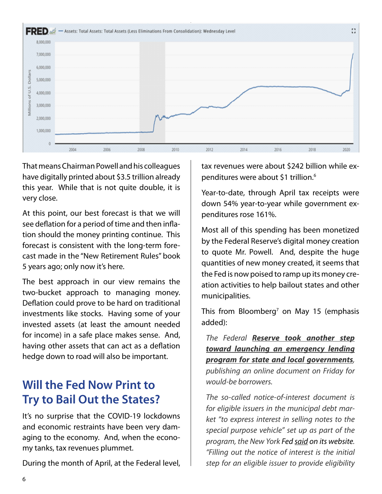

That means Chairman Powell and his colleagues have digitally printed about \$3.5 trillion already this year. While that is not quite double, it is very close.

At this point, our best forecast is that we will see deflation for a period of time and then inflation should the money printing continue. This forecast is consistent with the long-term forecast made in the "New Retirement Rules" book 5 years ago; only now it's here.

The best approach in our view remains the two-bucket approach to managing money. Deflation could prove to be hard on traditional investments like stocks. Having some of your invested assets (at least the amount needed for income) in a safe place makes sense. And, having other assets that can act as a deflation hedge down to road will also be important.

## **Will the Fed Now Print to Try to Bail Out the States?**

It's no surprise that the COVID-19 lockdowns and economic restraints have been very damaging to the economy. And, when the economy tanks, tax revenues plummet.

During the month of April, at the Federal level,

tax revenues were about \$242 billion while expenditures were about \$1 trillion.<sup>6</sup>

Year-to-date, through April tax receipts were down 54% year-to-year while government expenditures rose 161%.

Most all of this spending has been monetized by the Federal Reserve's digital money creation to quote Mr. Powell. And, despite the huge quantities of new money created, it seems that the Fed is now poised to ramp up its money creation activities to help bailout states and other municipalities.

This from Bloomberg<sup>7</sup> on May 15 (emphasis added):

*The Federal Reserve took another step toward launching an emergency lending program for state and local governments, publishing an online document on Friday for would-be borrowers.*

*The so-called notice-of-interest document is for eligible issuers in the municipal debt market "to express interest in selling notes to the special purpose vehicle" set up as part of the program, the New York Fed said on its website. "Filling out the notice of interest is the initial step for an eligible issuer to provide eligibility*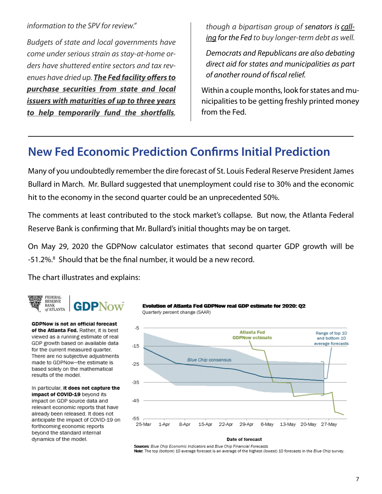#### *information to the SPV for review."*

*Budgets of state and local governments have come under serious strain as stay-at-home orders have shuttered entire sectors and tax revenues have dried up. The Fed facility offers to purchase securities from state and local issuers with maturities of up to three years to help temporarily fund the shortfalls,* 

*though a bipartisan group of senators is calling for the Fed to buy longer-term debt as well.*

*Democrats and Republicans are also debating direct aid for states and municipalities as part of another round of fiscal relief.*

Within a couple months, look for states and municipalities to be getting freshly printed money from the Fed.

## **New Fed Economic Prediction Confirms Initial Prediction**

Many of you undoubtedly remember the dire forecast of St. Louis Federal Reserve President James Bullard in March. Mr. Bullard suggested that unemployment could rise to 30% and the economic hit to the economy in the second quarter could be an unprecedented 50%.

The comments at least contributed to the stock market's collapse. But now, the Atlanta Federal Reserve Bank is confirming that Mr. Bullard's initial thoughts may be on target.

On May 29, 2020 the GDPNow calculator estimates that second quarter GDP growth will be -51.2%.<sup>8</sup> Should that be the final number, it would be a new record.

The chart illustrates and explains:



**GDPNow is not an official forecast** of the Atlanta Fed. Rather, it is best viewed as a running estimate of real GDP growth based on available data for the current measured quarter. There are no subjective adjustments made to GDPNow-the estimate is based solely on the mathematical results of the model.

In particular, it does not capture the impact of COVID-19 beyond its impact on GDP source data and relevant economic reports that have already been released. It does not anticipate the impact of COVID-19 on forthcoming economic reports beyond the standard internal dynamics of the model.





Sources: Blue Chip Economic Indicators and Blue Chip Financial Forecasts Note: The top (bottom) 10 average forecast is an average of the highest (lowest) 10 forecasts in the Blue Chip survey.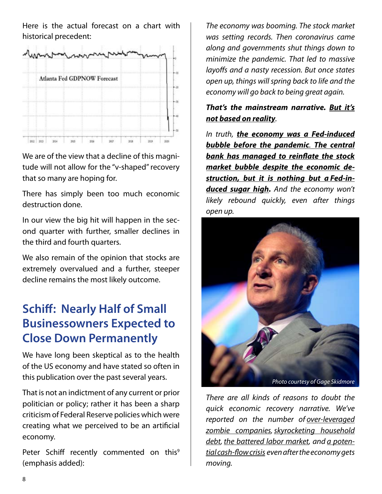Here is the actual forecast on a chart with historical precedent:



We are of the view that a decline of this magnitude will not allow for the "v-shaped" recovery that so many are hoping for.

There has simply been too much economic destruction done.

In our view the big hit will happen in the second quarter with further, smaller declines in the third and fourth quarters.

We also remain of the opinion that stocks are extremely overvalued and a further, steeper decline remains the most likely outcome.

## **Schiff: Nearly Half of Small Businessowners Expected to Close Down Permanently**

We have long been skeptical as to the health of the US economy and have stated so often in this publication over the past several years.

That is not an indictment of any current or prior politician or policy; rather it has been a sharp criticism of Federal Reserve policies which were creating what we perceived to be an artificial economy.

Peter Schiff recently commented on this<sup>9</sup> (emphasis added):

*The economy was booming. The stock market was setting records. Then coronavirus came along and governments shut things down to minimize the pandemic. That led to massive layoffs and a nasty recession. But once states open up, things will spring back to life and the economy will go back to being great again.*

## *That's the mainstream narrative. But it's not based on reality.*

*In truth, the economy was a Fed-induced bubble before the pandemic. The central bank has managed to reinflate the stock market bubble despite the economic destruction, but it is nothing but a Fed-induced sugar high. And the economy won't likely rebound quickly, even after things open up.*



*There are all kinds of reasons to doubt the quick economic recovery narrative. We've reported on the number of over-leveraged zombie companies,skyrocketing household debt, the battered labor market, and a potential cash-flow crisis even after the economy gets moving.*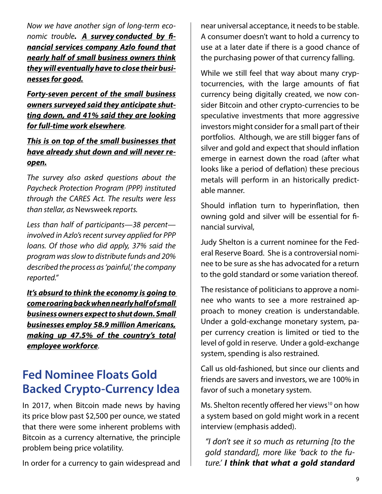*Now we have another sign of long-term economic trouble. A survey conducted by financial services company Azlo found that nearly half of small business owners think they will eventually have to close their businesses for good.*

*Forty-seven percent of the small business owners surveyed said they anticipate shutting down, and 41% said they are looking for full-time work elsewhere.*

*This is on top of the small businesses that have already shut down and will never reopen.*

*The survey also asked questions about the Paycheck Protection Program (PPP) instituted through the CARES Act. The results were less than stellar, as* Newsweek *reports.*

*Less than half of participants—38 percent involved in Azlo's recent survey applied for PPP loans. Of those who did apply, 37% said the program was slow to distribute funds and 20% described the process as 'painful,' the company reported."*

*It's absurd to think the economy is going to come roaring back when nearly half of small business owners expect to shut down. Small businesses employ 58.9 million Americans, making up 47.5% of the country's total employee workforce.*

## **Fed Nominee Floats Gold Backed Crypto-Currency Idea**

In 2017, when Bitcoin made news by having its price blow past \$2,500 per ounce, we stated that there were some inherent problems with Bitcoin as a currency alternative, the principle problem being price volatility.

In order for a currency to gain widespread and

near universal acceptance, it needs to be stable. A consumer doesn't want to hold a currency to use at a later date if there is a good chance of the purchasing power of that currency falling.

While we still feel that way about many cryptocurrencies, with the large amounts of fiat currency being digitally created, we now consider Bitcoin and other crypto-currencies to be speculative investments that more aggressive investors might consider for a small part of their portfolios. Although, we are still bigger fans of silver and gold and expect that should inflation emerge in earnest down the road (after what looks like a period of deflation) these precious metals will perform in an historically predictable manner.

Should inflation turn to hyperinflation, then owning gold and silver will be essential for financial survival,

Judy Shelton is a current nominee for the Federal Reserve Board. She is a controversial nominee to be sure as she has advocated for a return to the gold standard or some variation thereof.

The resistance of politicians to approve a nominee who wants to see a more restrained approach to money creation is understandable. Under a gold-exchange monetary system, paper currency creation is limited or tied to the level of gold in reserve. Under a gold-exchange system, spending is also restrained.

Call us old-fashioned, but since our clients and friends are savers and investors, we are 100% in favor of such a monetary system.

Ms. Shelton recently offered her views<sup>10</sup> on how a system based on gold might work in a recent interview (emphasis added).

*"I don't see it so much as returning [to the gold standard], more like 'back to the future.' I think that what a gold standard*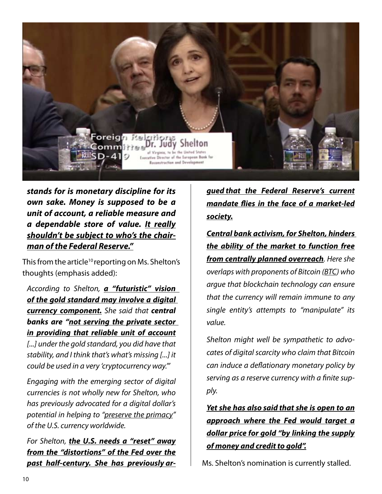

*stands for is monetary discipline for its own sake. Money is supposed to be a unit of account, a reliable measure and a dependable store of value. It really shouldn't be subject to who's the chairman of the Federal Reserve."*

This from the article<sup>10</sup> reporting on Ms. Shelton's thoughts (emphasis added):

*According to Shelton, a "futuristic" vision of the gold standard may involve a digital currency component. She said that central banks are "not serving the private sector in providing that reliable unit of account [...] under the gold standard, you did have that stability, and I think that's what's missing [...] it could be used in a very 'cryptocurrency way.'"*

*Engaging with the emerging sector of digital currencies is not wholly new for Shelton, who has previously advocated for a digital dollar's potential in helping to "preserve the primacy" of the U.S. currency worldwide.*

*For Shelton, the U.S. needs a "reset" away from the "distortions" of the Fed over the past half-century. She has previously ar-* *gued that the Federal Reserve's current mandate flies in the face of a market-led society.*

*Central bank activism, for Shelton, hinders the ability of the market to function free from centrally planned overreach. Here she overlaps with proponents of Bitcoin (BTC) who argue that blockchain technology can ensure that the currency will remain immune to any single entity's attempts to "manipulate" its value.*

*Shelton might well be sympathetic to advocates of digital scarcity who claim that Bitcoin can induce a deflationary monetary policy by serving as a reserve currency with a finite supply.*

*Yet she has also said that she is open to an approach where the Fed would target a dollar price for gold "by linking the supply of money and credit to gold".*

Ms. Shelton's nomination is currently stalled.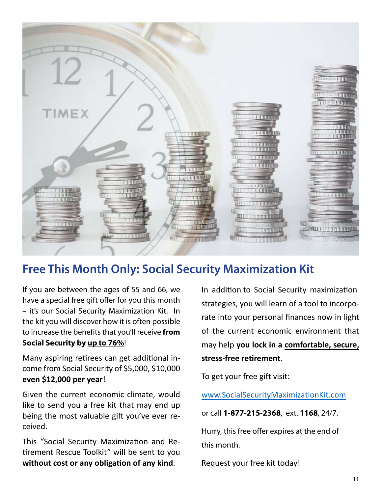

## **Free This Month Only: Social Security Maximization Kit**

If you are between the ages of 55 and 66, we have a special free gift offer for you this month – it's our Social Security Maximization Kit. In the kit you will discover how it is often possible to increase the benefits that you'll receive **from Social Security by up to 76%**!

Many aspiring retirees can get additional income from Social Security of \$5,000, \$10,000 **even \$12,000 per year**!

Given the current economic climate, would like to send you a free kit that may end up being the most valuable gift you've ever received.

This "Social Security Maximization and Retirement Rescue Toolkit" will be sent to you **without cost or any obligation of any kind**.

In addition to Social Security maximization strategies, you will learn of a tool to incorporate into your personal finances now in light of the current economic environment that may help **you lock in a comfortable, secure, stress-free retirement**.

To get your free gift visit:

www.SocialSecurityMaximizationKit.com

or call **1-877-215-2368**, ext. **1168**, 24/7.

Hurry, this free offer expires at the end of this month.

Request your free kit today!